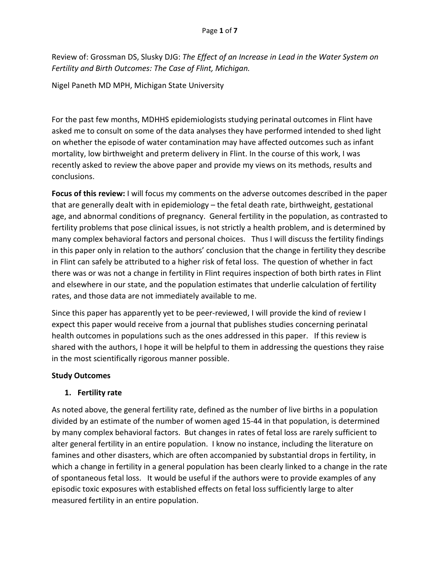Review of: Grossman DS, Slusky DJG: *The Effect of an Increase in Lead in the Water System on Fertility and Birth Outcomes: The Case of Flint, Michigan.*

Nigel Paneth MD MPH, Michigan State University

For the past few months, MDHHS epidemiologists studying perinatal outcomes in Flint have asked me to consult on some of the data analyses they have performed intended to shed light on whether the episode of water contamination may have affected outcomes such as infant mortality, low birthweight and preterm delivery in Flint. In the course of this work, I was recently asked to review the above paper and provide my views on its methods, results and conclusions.

**Focus of this review:** I will focus my comments on the adverse outcomes described in the paper that are generally dealt with in epidemiology – the fetal death rate, birthweight, gestational age, and abnormal conditions of pregnancy. General fertility in the population, as contrasted to fertility problems that pose clinical issues, is not strictly a health problem, and is determined by many complex behavioral factors and personal choices. Thus I will discuss the fertility findings in this paper only in relation to the authors' conclusion that the change in fertility they describe in Flint can safely be attributed to a higher risk of fetal loss. The question of whether in fact there was or was not a change in fertility in Flint requires inspection of both birth rates in Flint and elsewhere in our state, and the population estimates that underlie calculation of fertility rates, and those data are not immediately available to me.

Since this paper has apparently yet to be peer-reviewed, I will provide the kind of review I expect this paper would receive from a journal that publishes studies concerning perinatal health outcomes in populations such as the ones addressed in this paper. If this review is shared with the authors, I hope it will be helpful to them in addressing the questions they raise in the most scientifically rigorous manner possible.

### **Study Outcomes**

### **1. Fertility rate**

As noted above, the general fertility rate, defined as the number of live births in a population divided by an estimate of the number of women aged 15-44 in that population, is determined by many complex behavioral factors. But changes in rates of fetal loss are rarely sufficient to alter general fertility in an entire population. I know no instance, including the literature on famines and other disasters, which are often accompanied by substantial drops in fertility, in which a change in fertility in a general population has been clearly linked to a change in the rate of spontaneous fetal loss. It would be useful if the authors were to provide examples of any episodic toxic exposures with established effects on fetal loss sufficiently large to alter measured fertility in an entire population.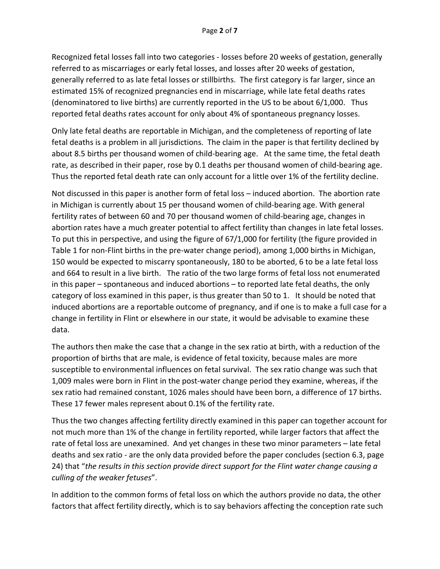Recognized fetal losses fall into two categories - losses before 20 weeks of gestation, generally referred to as miscarriages or early fetal losses, and losses after 20 weeks of gestation, generally referred to as late fetal losses or stillbirths. The first category is far larger, since an estimated 15% of recognized pregnancies end in miscarriage, while late fetal deaths rates (denominatored to live births) are currently reported in the US to be about 6/1,000. Thus reported fetal deaths rates account for only about 4% of spontaneous pregnancy losses.

Only late fetal deaths are reportable in Michigan, and the completeness of reporting of late fetal deaths is a problem in all jurisdictions. The claim in the paper is that fertility declined by about 8.5 births per thousand women of child-bearing age. At the same time, the fetal death rate, as described in their paper, rose by 0.1 deaths per thousand women of child-bearing age. Thus the reported fetal death rate can only account for a little over 1% of the fertility decline.

Not discussed in this paper is another form of fetal loss – induced abortion. The abortion rate in Michigan is currently about 15 per thousand women of child-bearing age. With general fertility rates of between 60 and 70 per thousand women of child-bearing age, changes in abortion rates have a much greater potential to affect fertility than changes in late fetal losses. To put this in perspective, and using the figure of 67/1,000 for fertility (the figure provided in Table 1 for non-Flint births in the pre-water change period), among 1,000 births in Michigan, 150 would be expected to miscarry spontaneously, 180 to be aborted, 6 to be a late fetal loss and 664 to result in a live birth. The ratio of the two large forms of fetal loss not enumerated in this paper – spontaneous and induced abortions – to reported late fetal deaths, the only category of loss examined in this paper, is thus greater than 50 to 1. It should be noted that induced abortions are a reportable outcome of pregnancy, and if one is to make a full case for a change in fertility in Flint or elsewhere in our state, it would be advisable to examine these data.

The authors then make the case that a change in the sex ratio at birth, with a reduction of the proportion of births that are male, is evidence of fetal toxicity, because males are more susceptible to environmental influences on fetal survival. The sex ratio change was such that 1,009 males were born in Flint in the post-water change period they examine, whereas, if the sex ratio had remained constant, 1026 males should have been born, a difference of 17 births. These 17 fewer males represent about 0.1% of the fertility rate.

Thus the two changes affecting fertility directly examined in this paper can together account for not much more than 1% of the change in fertility reported, while larger factors that affect the rate of fetal loss are unexamined. And yet changes in these two minor parameters – late fetal deaths and sex ratio - are the only data provided before the paper concludes (section 6.3, page 24) that "*the results in this section provide direct support for the Flint water change causing a culling of the weaker fetuses*".

In addition to the common forms of fetal loss on which the authors provide no data, the other factors that affect fertility directly, which is to say behaviors affecting the conception rate such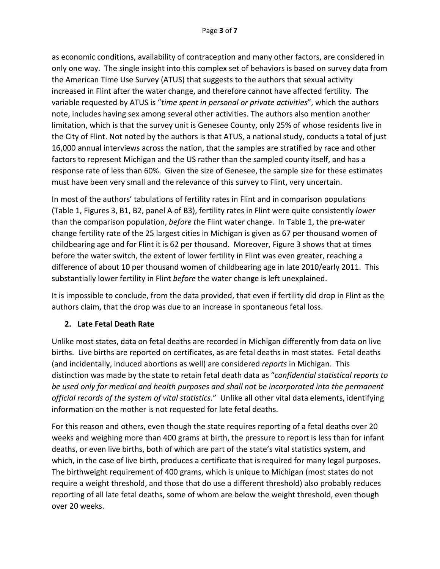as economic conditions, availability of contraception and many other factors, are considered in only one way. The single insight into this complex set of behaviors is based on survey data from the American Time Use Survey (ATUS) that suggests to the authors that sexual activity increased in Flint after the water change, and therefore cannot have affected fertility. The variable requested by ATUS is "*time spent in personal or private activities*", which the authors note, includes having sex among several other activities. The authors also mention another limitation, which is that the survey unit is Genesee County, only 25% of whose residents live in the City of Flint. Not noted by the authors is that ATUS, a national study, conducts a total of just 16,000 annual interviews across the nation, that the samples are stratified by race and other factors to represent Michigan and the US rather than the sampled county itself, and has a response rate of less than 60%. Given the size of Genesee, the sample size for these estimates must have been very small and the relevance of this survey to Flint, very uncertain.

In most of the authors' tabulations of fertility rates in Flint and in comparison populations (Table 1, Figures 3, B1, B2, panel A of B3), fertility rates in Flint were quite consistently *lower*  than the comparison population, *before t*he Flint water change. In Table 1, the pre-water change fertility rate of the 25 largest cities in Michigan is given as 67 per thousand women of childbearing age and for Flint it is 62 per thousand. Moreover, Figure 3 shows that at times before the water switch, the extent of lower fertility in Flint was even greater, reaching a difference of about 10 per thousand women of childbearing age in late 2010/early 2011. This substantially lower fertility in Flint *before* the water change is left unexplained.

It is impossible to conclude, from the data provided, that even if fertility did drop in Flint as the authors claim, that the drop was due to an increase in spontaneous fetal loss.

# **2. Late Fetal Death Rate**

Unlike most states, data on fetal deaths are recorded in Michigan differently from data on live births. Live births are reported on certificates, as are fetal deaths in most states. Fetal deaths (and incidentally, induced abortions as well) are considered *reports* in Michigan. This distinction was made by the state to retain fetal death data as "*confidential statistical reports to be used only for medical and health purposes and shall not be incorporated into the permanent official records of the system of vital statistics*." Unlike all other vital data elements, identifying information on the mother is not requested for late fetal deaths.

For this reason and others, even though the state requires reporting of a fetal deaths over 20 weeks and weighing more than 400 grams at birth, the pressure to report is less than for infant deaths, or even live births, both of which are part of the state's vital statistics system, and which, in the case of live birth, produces a certificate that is required for many legal purposes. The birthweight requirement of 400 grams, which is unique to Michigan (most states do not require a weight threshold, and those that do use a different threshold) also probably reduces reporting of all late fetal deaths, some of whom are below the weight threshold, even though over 20 weeks.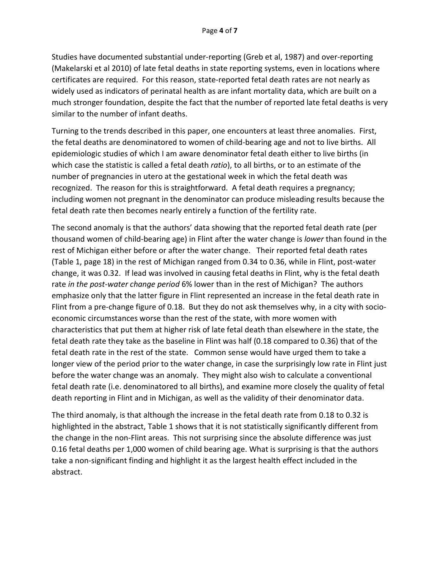Studies have documented substantial under-reporting (Greb et al, 1987) and over-reporting (Makelarski et al 2010) of late fetal deaths in state reporting systems, even in locations where certificates are required. For this reason, state-reported fetal death rates are not nearly as widely used as indicators of perinatal health as are infant mortality data, which are built on a much stronger foundation, despite the fact that the number of reported late fetal deaths is very similar to the number of infant deaths.

Turning to the trends described in this paper, one encounters at least three anomalies. First, the fetal deaths are denominatored to women of child-bearing age and not to live births. All epidemiologic studies of which I am aware denominator fetal death either to live births (in which case the statistic is called a fetal death *ratio*), to all births, or to an estimate of the number of pregnancies in utero at the gestational week in which the fetal death was recognized. The reason for this is straightforward. A fetal death requires a pregnancy; including women not pregnant in the denominator can produce misleading results because the fetal death rate then becomes nearly entirely a function of the fertility rate.

The second anomaly is that the authors' data showing that the reported fetal death rate (per thousand women of child-bearing age) in Flint after the water change is *lower* than found in the rest of Michigan either before or after the water change. Their reported fetal death rates (Table 1, page 18) in the rest of Michigan ranged from 0.34 to 0.36, while in Flint, post-water change, it was 0.32. If lead was involved in causing fetal deaths in Flint, why is the fetal death rate *in the post-water change period* 6% lower than in the rest of Michigan? The authors emphasize only that the latter figure in Flint represented an increase in the fetal death rate in Flint from a pre-change figure of 0.18. But they do not ask themselves why, in a city with socioeconomic circumstances worse than the rest of the state, with more women with characteristics that put them at higher risk of late fetal death than elsewhere in the state, the fetal death rate they take as the baseline in Flint was half (0.18 compared to 0.36) that of the fetal death rate in the rest of the state. Common sense would have urged them to take a longer view of the period prior to the water change, in case the surprisingly low rate in Flint just before the water change was an anomaly. They might also wish to calculate a conventional fetal death rate (i.e. denominatored to all births), and examine more closely the quality of fetal death reporting in Flint and in Michigan, as well as the validity of their denominator data.

The third anomaly, is that although the increase in the fetal death rate from 0.18 to 0.32 is highlighted in the abstract, Table 1 shows that it is not statistically significantly different from the change in the non-Flint areas. This not surprising since the absolute difference was just 0.16 fetal deaths per 1,000 women of child bearing age. What is surprising is that the authors take a non-significant finding and highlight it as the largest health effect included in the abstract.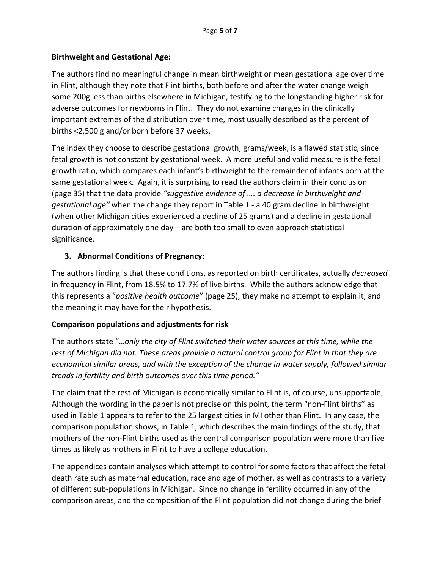## **Birthweight and Gestational Age:**

The authors find no meaningful change in mean birthweight or mean gestational age over time in Flint, although they note that Flint births, both before and after the water change weigh some 200g less than births elsewhere in Michigan, testifying to the longstanding higher risk for adverse outcomes for newborns in Flint. They do not examine changes in the clinically important extremes of the distribution over time, most usually described as the percent of births <2,500 g and/or born before 37 weeks.

The index they choose to describe gestational growth, grams/week, is a flawed statistic, since fetal growth is not constant by gestational week. A more useful and valid measure is the fetal growth ratio, which compares each infant's birthweight to the remainder of infants born at the same gestational week. Again, it is surprising to read the authors claim in their conclusion (page 35) that the data provide *"suggestive evidence of …. a decrease in birthweight and gestational age"* when the change they report in Table 1 - a 40 gram decline in birthweight (when other Michigan cities experienced a decline of 25 grams) and a decline in gestational duration of approximately one day – are both too small to even approach statistical significance.

## **3. Abnormal Conditions of Pregnancy:**

The authors finding is that these conditions, as reported on birth certificates, actually *decreased*  in frequency in Flint, from 18.5% to 17.7% of live births. While the authors acknowledge that this represents a "*positive health outcome*" (page 25), they make no attempt to explain it, and the meaning it may have for their hypothesis.

### **Comparison populations and adjustments for risk**

The authors state "…*only the city of Flint switched their water sources at this time, while the rest of Michigan did not. These areas provide a natural control group for Flint in that they are economical similar areas, and with the exception of the change in water supply, followed similar trends in fertility and birth outcomes over this time period."*

The claim that the rest of Michigan is economically similar to Flint is, of course, unsupportable, Although the wording in the paper is not precise on this point, the term "non-Flint births" as used in Table 1 appears to refer to the 25 largest cities in MI other than Flint. In any case, the comparison population shows, in Table 1, which describes the main findings of the study, that mothers of the non-Flint births used as the central comparison population were more than five times as likely as mothers in Flint to have a college education.

The appendices contain analyses which attempt to control for some factors that affect the fetal death rate such as maternal education, race and age of mother, as well as contrasts to a variety of different sub-populations in Michigan. Since no change in fertility occurred in any of the comparison areas, and the composition of the Flint population did not change during the brief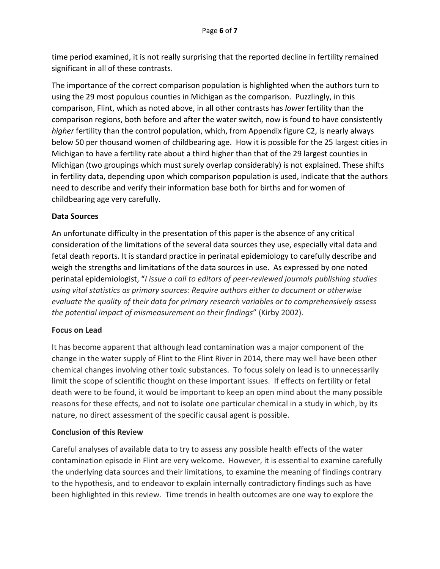time period examined, it is not really surprising that the reported decline in fertility remained significant in all of these contrasts.

The importance of the correct comparison population is highlighted when the authors turn to using the 29 most populous counties in Michigan as the comparison. Puzzlingly, in this comparison, Flint, which as noted above, in all other contrasts has *lower* fertility than the comparison regions, both before and after the water switch, now is found to have consistently *higher* fertility than the control population, which, from Appendix figure C2, is nearly always below 50 per thousand women of childbearing age. How it is possible for the 25 largest cities in Michigan to have a fertility rate about a third higher than that of the 29 largest counties in Michigan (two groupings which must surely overlap considerably) is not explained. These shifts in fertility data, depending upon which comparison population is used, indicate that the authors need to describe and verify their information base both for births and for women of childbearing age very carefully.

#### **Data Sources**

An unfortunate difficulty in the presentation of this paper is the absence of any critical consideration of the limitations of the several data sources they use, especially vital data and fetal death reports. It is standard practice in perinatal epidemiology to carefully describe and weigh the strengths and limitations of the data sources in use. As expressed by one noted perinatal epidemiologist, "*I issue a call to editors of peer-reviewed journals publishing studies using vital statistics as primary sources: Require authors either to document or otherwise evaluate the quality of their data for primary research variables or to comprehensively assess the potential impact of mismeasurement on their findings*" (Kirby 2002).

### **Focus on Lead**

It has become apparent that although lead contamination was a major component of the change in the water supply of Flint to the Flint River in 2014, there may well have been other chemical changes involving other toxic substances. To focus solely on lead is to unnecessarily limit the scope of scientific thought on these important issues. If effects on fertility or fetal death were to be found, it would be important to keep an open mind about the many possible reasons for these effects, and not to isolate one particular chemical in a study in which, by its nature, no direct assessment of the specific causal agent is possible.

#### **Conclusion of this Review**

Careful analyses of available data to try to assess any possible health effects of the water contamination episode in Flint are very welcome. However, it is essential to examine carefully the underlying data sources and their limitations, to examine the meaning of findings contrary to the hypothesis, and to endeavor to explain internally contradictory findings such as have been highlighted in this review. Time trends in health outcomes are one way to explore the